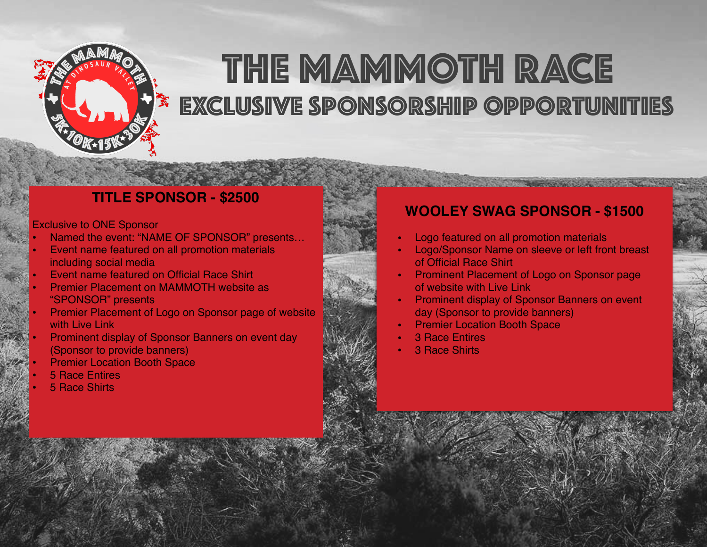

# EXCLUSIVE SPONSORSHIP Opportunities the MAMMOTH RACE

### **TITLE SPONSOR - \$2500**

### Exclusive to ONE Sponsor

- Named the event: "NAME OF SPONSOR" presents…
- Event name featured on all promotion materials including social media
- Event name featured on Official Race Shirt
- Premier Placement on MAMMOTH website as "SPONSOR" presents
- Premier Placement of Logo on Sponsor page of website with Live Link
- Prominent display of Sponsor Banners on event day (Sponsor to provide banners)
- **Premier Location Booth Space**
- **5 Race Entires**
- 5 Race Shirts

### **WOOLEY SWAG SPONSOR - \$1500**

- Logo featured on all promotion materials
- Logo/Sponsor Name on sleeve or left front breast of Official Race Shirt
- Prominent Placement of Logo on Sponsor page of website with Live Link
- Prominent display of Sponsor Banners on event day (Sponsor to provide banners)
- **Premier Location Booth Space**
- **3 Race Entires**
- **3 Race Shirts**